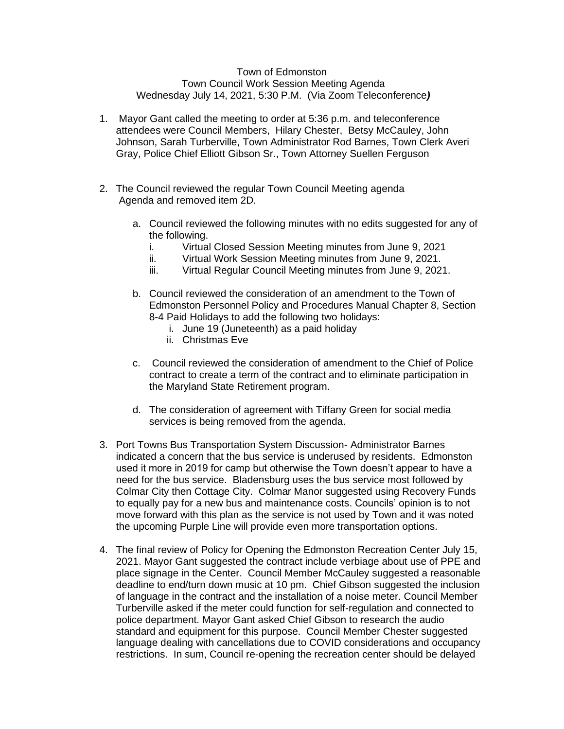## Town of Edmonston Town Council Work Session Meeting Agenda Wednesday July 14, 2021, 5:30 P.M. (Via Zoom Teleconference*)*

- 1. Mayor Gant called the meeting to order at 5:36 p.m. and teleconference attendees were Council Members, Hilary Chester, Betsy McCauley, John Johnson, Sarah Turberville, Town Administrator Rod Barnes, Town Clerk Averi Gray, Police Chief Elliott Gibson Sr., Town Attorney Suellen Ferguson
- 2. The Council reviewed the regular Town Council Meeting agenda Agenda and removed item 2D.
	- a. Council reviewed the following minutes with no edits suggested for any of the following.
		- i. Virtual Closed Session Meeting minutes from June 9, 2021
		- ii. Virtual Work Session Meeting minutes from June 9, 2021.
		- iii. Virtual Regular Council Meeting minutes from June 9, 2021.
	- b. Council reviewed the consideration of an amendment to the Town of Edmonston Personnel Policy and Procedures Manual Chapter 8, Section 8-4 Paid Holidays to add the following two holidays:
		- i. June 19 (Juneteenth) as a paid holiday
		- ii. Christmas Eve
	- c. Council reviewed the consideration of amendment to the Chief of Police contract to create a term of the contract and to eliminate participation in the Maryland State Retirement program.
	- d. The consideration of agreement with Tiffany Green for social media services is being removed from the agenda.
- 3. Port Towns Bus Transportation System Discussion- Administrator Barnes indicated a concern that the bus service is underused by residents. Edmonston used it more in 2019 for camp but otherwise the Town doesn't appear to have a need for the bus service. Bladensburg uses the bus service most followed by Colmar City then Cottage City. Colmar Manor suggested using Recovery Funds to equally pay for a new bus and maintenance costs. Councils' opinion is to not move forward with this plan as the service is not used by Town and it was noted the upcoming Purple Line will provide even more transportation options.
- 4. The final review of Policy for Opening the Edmonston Recreation Center July 15, 2021. Mayor Gant suggested the contract include verbiage about use of PPE and place signage in the Center. Council Member McCauley suggested a reasonable deadline to end/turn down music at 10 pm. Chief Gibson suggested the inclusion of language in the contract and the installation of a noise meter. Council Member Turberville asked if the meter could function for self-regulation and connected to police department. Mayor Gant asked Chief Gibson to research the audio standard and equipment for this purpose. Council Member Chester suggested language dealing with cancellations due to COVID considerations and occupancy restrictions. In sum, Council re-opening the recreation center should be delayed